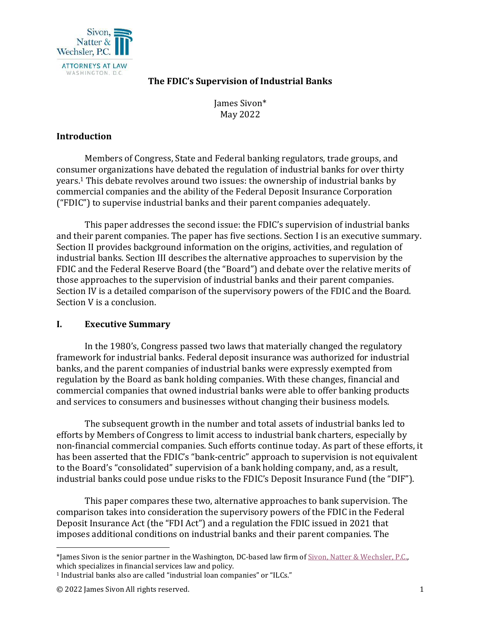

# **The FDIC's Supervision of Industrial Banks**

James Sivon\* May 2022

# **Introduction**

 Members of Congress, State and Federal banking regulators, trade groups, and consumer organizations have debated the regulation of industrial banks for over thirty years.1 This debate revolves around two issues: the ownership of industrial banks by commercial companies and the ability of the Federal Deposit Insurance Corporation ("FDIC") to supervise industrial banks and their parent companies adequately.

 This paper addresses the second issue: the FDIC's supervision of industrial banks and their parent companies. The paper has five sections. Section I is an executive summary. Section II provides background information on the origins, activities, and regulation of industrial banks. Section III describes the alternative approaches to supervision by the FDIC and the Federal Reserve Board (the "Board") and debate over the relative merits of those approaches to the supervision of industrial banks and their parent companies. Section IV is a detailed comparison of the supervisory powers of the FDIC and the Board. Section V is a conclusion.

## **I. Executive Summary**

 In the 1980's, Congress passed two laws that materially changed the regulatory framework for industrial banks. Federal deposit insurance was authorized for industrial banks, and the parent companies of industrial banks were expressly exempted from regulation by the Board as bank holding companies. With these changes, financial and commercial companies that owned industrial banks were able to offer banking products and services to consumers and businesses without changing their business models.

 The subsequent growth in the number and total assets of industrial banks led to efforts by Members of Congress to limit access to industrial bank charters, especially by non-financial commercial companies. Such efforts continue today. As part of these efforts, it has been asserted that the FDIC's "bank-centric" approach to supervision is not equivalent to the Board's "consolidated" supervision of a bank holding company, and, as a result, industrial banks could pose undue risks to the FDIC's Deposit Insurance Fund (the "DIF").

 This paper compares these two, alternative approaches to bank supervision. The comparison takes into consideration the supervisory powers of the FDIC in the Federal Deposit Insurance Act (the "FDI Act") and a regulation the FDIC issued in 2021 that imposes additional conditions on industrial banks and their parent companies. The

<sup>\*</sup>James Sivon is the senior partner in the Washington, DC-based law firm of Sivon, Natter & Wechsler, P.C., which specializes in financial services law and policy.

<sup>&</sup>lt;sup>1</sup> Industrial banks also are called "industrial loan companies" or "ILCs."

<sup>© 2022</sup> James Sivon All rights reserved. 1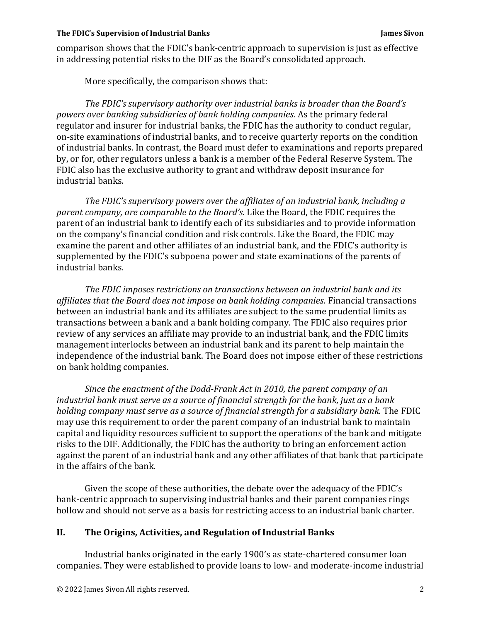#### **The FDIC's Supervision of Industrial Banks James Sivon**

comparison shows that the FDIC's bank-centric approach to supervision is just as effective in addressing potential risks to the DIF as the Board's consolidated approach.

More specifically, the comparison shows that:

*The FDIC's supervisory authority over industrial banks is broader than the Board's powers over banking subsidiaries of bank holding companies.* As the primary federal regulator and insurer for industrial banks, the FDIC has the authority to conduct regular, on-site examinations of industrial banks, and to receive quarterly reports on the condition of industrial banks. In contrast, the Board must defer to examinations and reports prepared by, or for, other regulators unless a bank is a member of the Federal Reserve System. The FDIC also has the exclusive authority to grant and withdraw deposit insurance for industrial banks.

*The FDIC's supervisory powers over the affiliates of an industrial bank, including a parent company, are comparable to the Board's.* Like the Board, the FDIC requires the parent of an industrial bank to identify each of its subsidiaries and to provide information on the company's financial condition and risk controls. Like the Board, the FDIC may examine the parent and other affiliates of an industrial bank, and the FDIC's authority is supplemented by the FDIC's subpoena power and state examinations of the parents of industrial banks.

*The FDIC imposes restrictions on transactions between an industrial bank and its affiliates that the Board does not impose on bank holding companies.* Financial transactions between an industrial bank and its affiliates are subject to the same prudential limits as transactions between a bank and a bank holding company*.* The FDIC also requires prior review of any services an affiliate may provide to an industrial bank, and the FDIC limits management interlocks between an industrial bank and its parent to help maintain the independence of the industrial bank. The Board does not impose either of these restrictions on bank holding companies.

*Since the enactment of the Dodd-Frank Act in 2010, the parent company of an industrial bank must serve as a source of financial strength for the bank, just as a bank holding company must serve as a source of financial strength for a subsidiary bank.* The FDIC may use this requirement to order the parent company of an industrial bank to maintain capital and liquidity resources sufficient to support the operations of the bank and mitigate risks to the DIF. Additionally, the FDIC has the authority to bring an enforcement action against the parent of an industrial bank and any other affiliates of that bank that participate in the affairs of the bank.

 Given the scope of these authorities, the debate over the adequacy of the FDIC's bank-centric approach to supervising industrial banks and their parent companies rings hollow and should not serve as a basis for restricting access to an industrial bank charter.

## **II. The Origins, Activities, and Regulation of Industrial Banks**

 Industrial banks originated in the early 1900's as state-chartered consumer loan companies. They were established to provide loans to low- and moderate-income industrial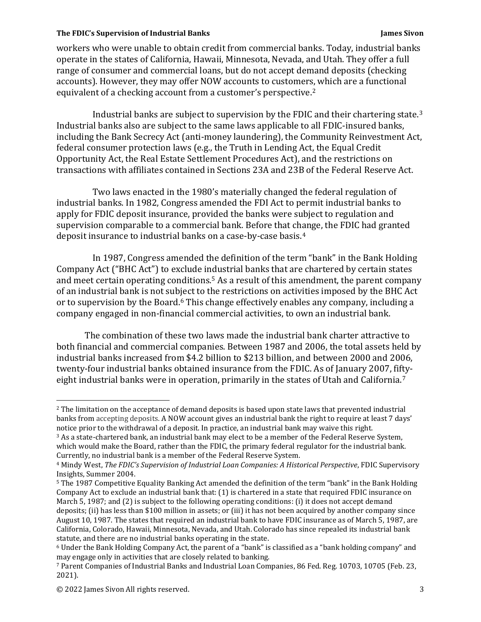workers who were unable to obtain credit from commercial banks. Today, industrial banks operate in the states of California, Hawaii, Minnesota, Nevada, and Utah. They offer a full range of consumer and commercial loans, but do not accept demand deposits (checking accounts). However, they may offer NOW accounts to customers, which are a functional equivalent of a checking account from a customer's perspective.2

 Industrial banks are subject to supervision by the FDIC and their chartering state.3 Industrial banks also are subject to the same laws applicable to all FDIC-insured banks, including the Bank Secrecy Act (anti-money laundering), the Community Reinvestment Act, federal consumer protection laws (e.g., the Truth in Lending Act, the Equal Credit Opportunity Act, the Real Estate Settlement Procedures Act), and the restrictions on transactions with affiliates contained in Sections 23A and 23B of the Federal Reserve Act.

 Two laws enacted in the 1980's materially changed the federal regulation of industrial banks. In 1982, Congress amended the FDI Act to permit industrial banks to apply for FDIC deposit insurance, provided the banks were subject to regulation and supervision comparable to a commercial bank. Before that change, the FDIC had granted deposit insurance to industrial banks on a case-by-case basis.4

 In 1987, Congress amended the definition of the term "bank" in the Bank Holding Company Act ("BHC Act") to exclude industrial banks that are chartered by certain states and meet certain operating conditions.<sup>5</sup> As a result of this amendment, the parent company of an industrial bank is not subject to the restrictions on activities imposed by the BHC Act or to supervision by the Board.6 This change effectively enables any company, including a company engaged in non-financial commercial activities, to own an industrial bank.

 The combination of these two laws made the industrial bank charter attractive to both financial and commercial companies. Between 1987 and 2006, the total assets held by industrial banks increased from \$4.2 billion to \$213 billion, and between 2000 and 2006, twenty-four industrial banks obtained insurance from the FDIC. As of January 2007, fiftyeight industrial banks were in operation, primarily in the states of Utah and California.<sup>7</sup>

5 The 1987 Competitive Equality Banking Act amended the definition of the term "bank" in the Bank Holding Company Act to exclude an industrial bank that: (1) is chartered in a state that required FDIC insurance on March 5, 1987; and (2) is subject to the following operating conditions: (i) it does not accept demand deposits; (ii) has less than \$100 million in assets; or (iii) it has not been acquired by another company since August 10, 1987. The states that required an industrial bank to have FDIC insurance as of March 5, 1987, are California, Colorado, Hawaii, Minnesota, Nevada, and Utah. Colorado has since repealed its industrial bank statute, and there are no industrial banks operating in the state.

<sup>&</sup>lt;sup>2</sup> The limitation on the acceptance of demand deposits is based upon state laws that prevented industrial banks from accepting deposits. A NOW account gives an industrial bank the right to require at least 7 days' notice prior to the withdrawal of a deposit. In practice, an industrial bank may waive this right.

<sup>3</sup> As a state-chartered bank, an industrial bank may elect to be a member of the Federal Reserve System, which would make the Board, rather than the FDIC, the primary federal regulator for the industrial bank. Currently, no industrial bank is a member of the Federal Reserve System.

<sup>4</sup> Mindy West, *The FDIC's Supervision of Industrial Loan Companies: A Historical Perspective*, FDIC Supervisory Insights, Summer 2004.

<sup>6</sup> Under the Bank Holding Company Act, the parent of a "bank" is classified as a "bank holding company" and may engage only in activities that are closely related to banking.

<sup>7</sup> Parent Companies of Industrial Banks and Industrial Loan Companies, 86 Fed. Reg. 10703, 10705 (Feb. 23, 2021).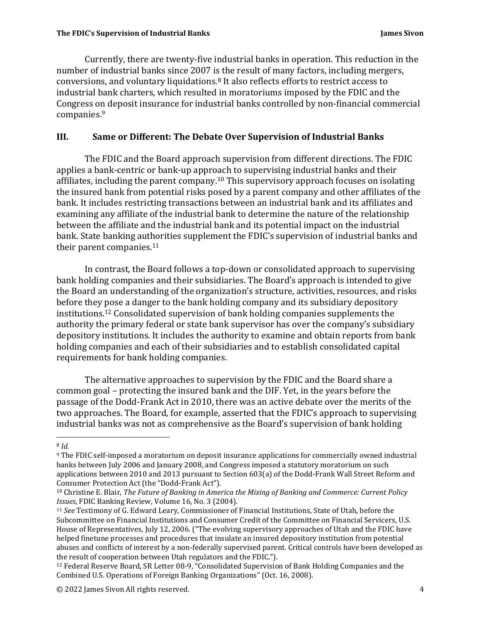Currently, there are twenty-five industrial banks in operation. This reduction in the number of industrial banks since 2007 is the result of many factors, including mergers, conversions, and voluntary liquidations.8 It also reflects efforts to restrict access to industrial bank charters, which resulted in moratoriums imposed by the FDIC and the Congress on deposit insurance for industrial banks controlled by non-financial commercial companies.9

# **III. Same or Different: The Debate Over Supervision of Industrial Banks**

The FDIC and the Board approach supervision from different directions. The FDIC applies a bank-centric or bank-up approach to supervising industrial banks and their affiliates, including the parent company.10 This supervisory approach focuses on isolating the insured bank from potential risks posed by a parent company and other affiliates of the bank. It includes restricting transactions between an industrial bank and its affiliates and examining any affiliate of the industrial bank to determine the nature of the relationship between the affiliate and the industrial bank and its potential impact on the industrial bank. State banking authorities supplement the FDIC's supervision of industrial banks and their parent companies.<sup>11</sup>

 In contrast, the Board follows a top-down or consolidated approach to supervising bank holding companies and their subsidiaries. The Board's approach is intended to give the Board an understanding of the organization's structure, activities, resources, and risks before they pose a danger to the bank holding company and its subsidiary depository institutions.12 Consolidated supervision of bank holding companies supplements the authority the primary federal or state bank supervisor has over the company's subsidiary depository institutions. It includes the authority to examine and obtain reports from bank holding companies and each of their subsidiaries and to establish consolidated capital requirements for bank holding companies.

 The alternative approaches to supervision by the FDIC and the Board share a common goal – protecting the insured bank and the DIF. Yet, in the years before the passage of the Dodd-Frank Act in 2010, there was an active debate over the merits of the two approaches. The Board, for example, asserted that the FDIC's approach to supervising industrial banks was not as comprehensive as the Board's supervision of bank holding

<sup>8</sup> *Id.*

<sup>9</sup> The FDIC self-imposed a moratorium on deposit insurance applications for commercially owned industrial banks between July 2006 and January 2008, and Congress imposed a statutory moratorium on such applications between 2010 and 2013 pursuant to Section 603(a) of the Dodd-Frank Wall Street Reform and Consumer Protection Act (the "Dodd-Frank Act").

<sup>10</sup> Christine E. Blair, *The Future of Banking in America the Mixing of Banking and Commerce: Current Policy Issues*, FDIC Banking Review, Volume 16, No. 3 (2004).<br><sup>11</sup> *See* Testimony of G. Edward Leary, Commissioner of Financial Institutions, State of Utah, before the

Subcommittee on Financial Institutions and Consumer Credit of the Committee on Financial Servicers, U.S. House of Representatives, July 12, 2006. ("The evolving supervisory approaches of Utah and the FDIC have helped finetune processes and procedures that insulate an insured depository institution from potential abuses and conflicts of interest by a non-federally supervised parent. Critical controls have been developed as the result of cooperation between Utah regulators and the FDIC.").

<sup>12</sup> Federal Reserve Board, SR Letter 08-9, "Consolidated Supervision of Bank Holding Companies and the Combined U.S. Operations of Foreign Banking Organizations" (Oct. 16, 2008).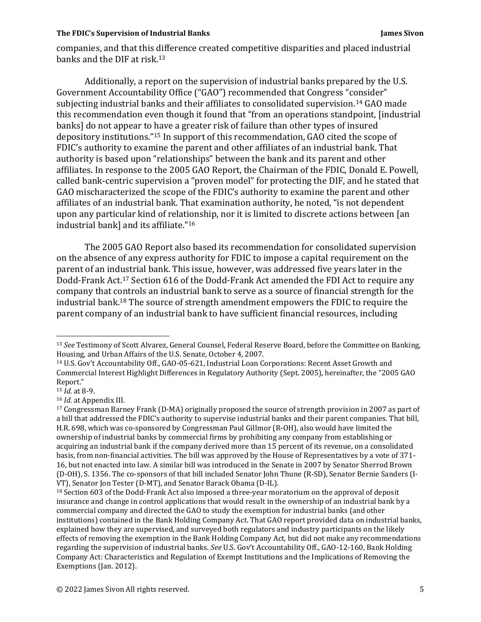#### **The FDIC's Supervision of Industrial Banks The Simulation of Industrial Banks** James Sivon

companies, and that this difference created competitive disparities and placed industrial banks and the DIF at risk.13

 Additionally, a report on the supervision of industrial banks prepared by the U.S. Government Accountability Office ("GAO") recommended that Congress "consider" subjecting industrial banks and their affiliates to consolidated supervision.14 GAO made this recommendation even though it found that "from an operations standpoint, [industrial banks] do not appear to have a greater risk of failure than other types of insured depository institutions."15 In support of this recommendation, GAO cited the scope of FDIC's authority to examine the parent and other affiliates of an industrial bank. That authority is based upon "relationships" between the bank and its parent and other affiliates. In response to the 2005 GAO Report, the Chairman of the FDIC, Donald E. Powell, called bank-centric supervision a "proven model" for protecting the DIF, and he stated that GAO mischaracterized the scope of the FDIC's authority to examine the parent and other affiliates of an industrial bank. That examination authority, he noted, "is not dependent upon any particular kind of relationship, nor it is limited to discrete actions between [an industrial bank] and its affiliate."16

 The 2005 GAO Report also based its recommendation for consolidated supervision on the absence of any express authority for FDIC to impose a capital requirement on the parent of an industrial bank. This issue, however, was addressed five years later in the Dodd-Frank Act.17 Section 616 of the Dodd-Frank Act amended the FDI Act to require any company that controls an industrial bank to serve as a source of financial strength for the industrial bank.18 The source of strength amendment empowers the FDIC to require the parent company of an industrial bank to have sufficient financial resources, including

<sup>13</sup> *See* Testimony of Scott Alvarez, General Counsel, Federal Reserve Board, before the Committee on Banking, Housing, and Urban Affairs of the U.S. Senate, October 4, 2007.

<sup>14</sup> U.S. Gov't Accountability Off., GAO-05-621, Industrial Loan Corporations: Recent Asset Growth and Commercial Interest Highlight Differences in Regulatory Authority (Sept. 2005), hereinafter, the "2005 GAO Report."<br><sup>15</sup> *Id.* at 8-9.

<sup>&</sup>lt;sup>16</sup> *Id.* at Appendix III.<br><sup>17</sup> Congressman Barney Frank (D-MA) originally proposed the source of strength provision in 2007 as part of a bill that addressed the FDIC's authority to supervise industrial banks and their parent companies. That bill, H.R. 698, which was co-sponsored by Congressman Paul Gillmor (R-OH), also would have limited the ownership of industrial banks by commercial firms by prohibiting any company from establishing or acquiring an industrial bank if the company derived more than 15 percent of its revenue, on a consolidated basis, from non-financial activities. The bill was approved by the House of Representatives by a vote of 371- 16, but not enacted into law. A similar bill was introduced in the Senate in 2007 by Senator Sherrod Brown (D-OH), S. 1356. The co-sponsors of that bill included Senator John Thune (R-SD), Senator Bernie Sanders (I-VT), Senator Jon Tester (D-MT), and Senator Barack Obama (D-IL).<br><sup>18</sup> Section 603 of the Dodd-Frank Act also imposed a three-year moratorium on the approval of deposit

insurance and change in control applications that would result in the ownership of an industrial bank by a commercial company and directed the GAO to study the exemption for industrial banks (and other institutions) contained in the Bank Holding Company Act. That GAO report provided data on industrial banks, explained how they are supervised, and surveyed both regulators and industry participants on the likely effects of removing the exemption in the Bank Holding Company Act, but did not make any recommendations regarding the supervision of industrial banks. *See* U.S. Gov't Accountability Off., GAO-12-160, Bank Holding Company Act: Characteristics and Regulation of Exempt Institutions and the Implications of Removing the Exemptions (Jan. 2012).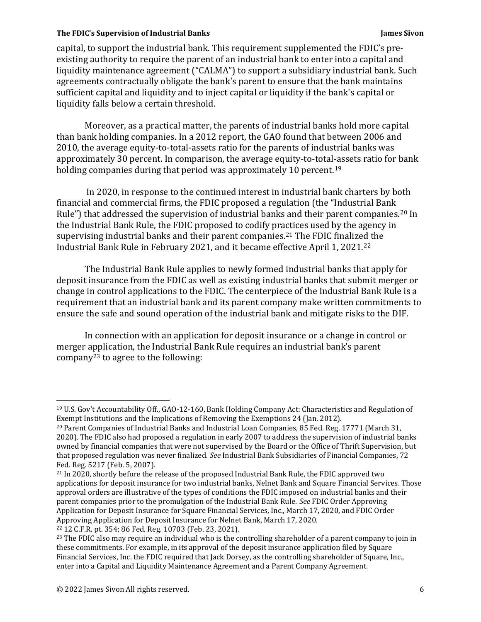capital, to support the industrial bank. This requirement supplemented the FDIC's preexisting authority to require the parent of an industrial bank to enter into a capital and liquidity maintenance agreement ("CALMA") to support a subsidiary industrial bank. Such agreements contractually obligate the bank's parent to ensure that the bank maintains sufficient capital and liquidity and to inject capital or liquidity if the bank's capital or liquidity falls below a certain threshold.

 Moreover, as a practical matter, the parents of industrial banks hold more capital than bank holding companies. In a 2012 report, the GAO found that between 2006 and 2010, the average equity-to-total-assets ratio for the parents of industrial banks was approximately 30 percent. In comparison, the average equity-to-total-assets ratio for bank holding companies during that period was approximately 10 percent.<sup>19</sup>

In 2020, in response to the continued interest in industrial bank charters by both financial and commercial firms, the FDIC proposed a regulation (the "Industrial Bank Rule") that addressed the supervision of industrial banks and their parent companies.<sup>20</sup> In the Industrial Bank Rule, the FDIC proposed to codify practices used by the agency in supervising industrial banks and their parent companies.21 The FDIC finalized the Industrial Bank Rule in February 2021, and it became effective April 1, 2021.22

 The Industrial Bank Rule applies to newly formed industrial banks that apply for deposit insurance from the FDIC as well as existing industrial banks that submit merger or change in control applications to the FDIC. The centerpiece of the Industrial Bank Rule is a requirement that an industrial bank and its parent company make written commitments to ensure the safe and sound operation of the industrial bank and mitigate risks to the DIF.

 In connection with an application for deposit insurance or a change in control or merger application, the Industrial Bank Rule requires an industrial bank's parent company23 to agree to the following:

<sup>19</sup> U.S. Gov't Accountability Off., GAO-12-160, Bank Holding Company Act: Characteristics and Regulation of Exempt Institutions and the Implications of Removing the Exemptions 24 (Jan. 2012).

<sup>&</sup>lt;sup>20</sup> Parent Companies of Industrial Banks and Industrial Loan Companies, 85 Fed. Reg. 17771 (March 31, 2020). The FDIC also had proposed a regulation in early 2007 to address the supervision of industrial banks owned by financial companies that were not supervised by the Board or the Office of Thrift Supervision, but that proposed regulation was never finalized. *See* Industrial Bank Subsidiaries of Financial Companies, 72 Fed. Reg. 5217 (Feb. 5, 2007).

<sup>&</sup>lt;sup>21</sup> In 2020, shortly before the release of the proposed Industrial Bank Rule, the FDIC approved two applications for deposit insurance for two industrial banks, Nelnet Bank and Square Financial Services. Those approval orders are illustrative of the types of conditions the FDIC imposed on industrial banks and their parent companies prior to the promulgation of the Industrial Bank Rule. *See* FDIC Order Approving Application for Deposit Insurance for Square Financial Services, Inc., March 17, 2020, and FDIC Order Approving Application for Deposit Insurance for Nelnet Bank, March 17, 2020.

<sup>22 12</sup> C.F.R. pt. 354; 86 Fed. Reg. 10703 (Feb. 23, 2021).

<sup>&</sup>lt;sup>23</sup> The FDIC also may require an individual who is the controlling shareholder of a parent company to join in these commitments. For example, in its approval of the deposit insurance application filed by Square Financial Services, Inc. the FDIC required that Jack Dorsey, as the controlling shareholder of Square, Inc., enter into a Capital and Liquidity Maintenance Agreement and a Parent Company Agreement.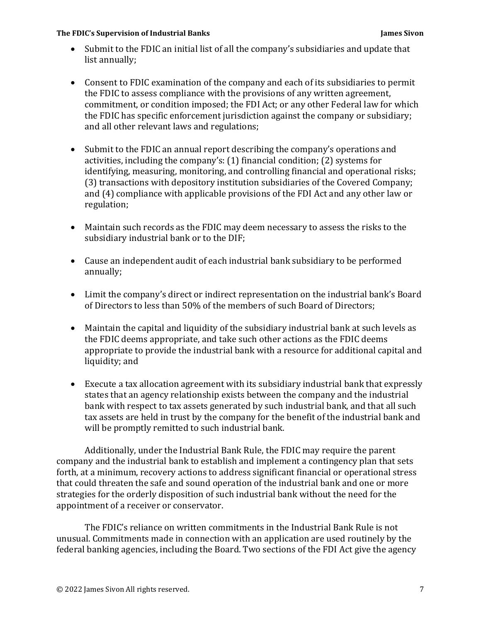- Submit to the FDIC an initial list of all the company's subsidiaries and update that list annually;
- Consent to FDIC examination of the company and each of its subsidiaries to permit the FDIC to assess compliance with the provisions of any written agreement, commitment, or condition imposed; the FDI Act; or any other Federal law for which the FDIC has specific enforcement jurisdiction against the company or subsidiary; and all other relevant laws and regulations;
- Submit to the FDIC an annual report describing the company's operations and activities, including the company's: (1) financial condition; (2) systems for identifying, measuring, monitoring, and controlling financial and operational risks; (3) transactions with depository institution subsidiaries of the Covered Company; and (4) compliance with applicable provisions of the FDI Act and any other law or regulation;
- Maintain such records as the FDIC may deem necessary to assess the risks to the subsidiary industrial bank or to the DIF;
- Cause an independent audit of each industrial bank subsidiary to be performed annually;
- Limit the company's direct or indirect representation on the industrial bank's Board of Directors to less than 50% of the members of such Board of Directors;
- Maintain the capital and liquidity of the subsidiary industrial bank at such levels as the FDIC deems appropriate, and take such other actions as the FDIC deems appropriate to provide the industrial bank with a resource for additional capital and liquidity; and
- Execute a tax allocation agreement with its subsidiary industrial bank that expressly states that an agency relationship exists between the company and the industrial bank with respect to tax assets generated by such industrial bank, and that all such tax assets are held in trust by the company for the benefit of the industrial bank and will be promptly remitted to such industrial bank.

 Additionally, under the Industrial Bank Rule, the FDIC may require the parent company and the industrial bank to establish and implement a contingency plan that sets forth, at a minimum, recovery actions to address significant financial or operational stress that could threaten the safe and sound operation of the industrial bank and one or more strategies for the orderly disposition of such industrial bank without the need for the appointment of a receiver or conservator.

 The FDIC's reliance on written commitments in the Industrial Bank Rule is not unusual. Commitments made in connection with an application are used routinely by the federal banking agencies, including the Board. Two sections of the FDI Act give the agency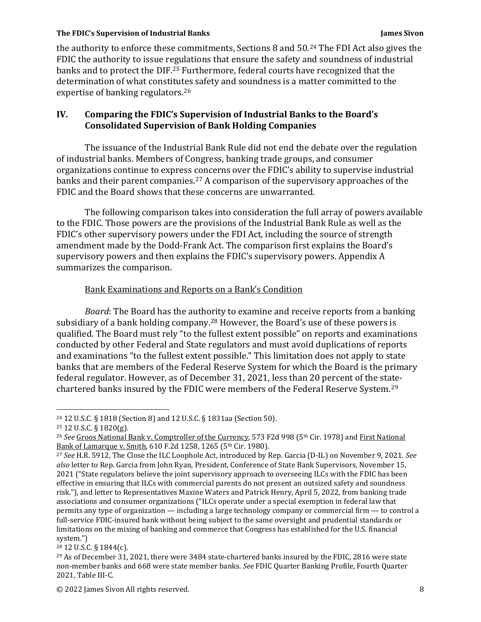the authority to enforce these commitments, Sections 8 and 50.24 The FDI Act also gives the FDIC the authority to issue regulations that ensure the safety and soundness of industrial banks and to protect the DIF.25 Furthermore, federal courts have recognized that the determination of what constitutes safety and soundness is a matter committed to the expertise of banking regulators.26

# **IV. Comparing the FDIC's Supervision of Industrial Banks to the Board's Consolidated Supervision of Bank Holding Companies**

 The issuance of the Industrial Bank Rule did not end the debate over the regulation of industrial banks. Members of Congress, banking trade groups, and consumer organizations continue to express concerns over the FDIC's ability to supervise industrial banks and their parent companies.27 A comparison of the supervisory approaches of the FDIC and the Board shows that these concerns are unwarranted.

 The following comparison takes into consideration the full array of powers available to the FDIC. Those powers are the provisions of the Industrial Bank Rule as well as the FDIC's other supervisory powers under the FDI Act, including the source of strength amendment made by the Dodd-Frank Act. The comparison first explains the Board's supervisory powers and then explains the FDIC's supervisory powers. Appendix A summarizes the comparison.

## Bank Examinations and Reports on a Bank's Condition

*Board*: The Board has the authority to examine and receive reports from a banking subsidiary of a bank holding company.28 However, the Board's use of these powers is qualified. The Board must rely "to the fullest extent possible" on reports and examinations conducted by other Federal and State regulators and must avoid duplications of reports and examinations "to the fullest extent possible." This limitation does not apply to state banks that are members of the Federal Reserve System for which the Board is the primary federal regulator. However, as of December 31, 2021, less than 20 percent of the statechartered banks insured by the FDIC were members of the Federal Reserve System.29

<sup>24 12</sup> U.S.C. § 1818 (Section 8) and 12 U.S.C. § 1831aa (Section 50).

<sup>25 12</sup> U.S.C. § 1820(g).

<sup>&</sup>lt;sup>26</sup> See Groos National Bank v. Comptroller of the Currency, 573 F2d 998 (5<sup>th</sup> Cir. 1978) and First National Bank of Lamarque v. Smith, 610 F.2d 1258, 1265 (5<sup>th</sup> Cir. 1980).<br><sup>27</sup> *See* H.R. 5912, The Close the ILC Loophole Act, introduced by Rep. Garcia (D-IL) on November 9, 2021. *See* 

*also* letter to Rep. Garcia from John Ryan, President, Conference of State Bank Supervisors, November 15, 2021 ("State regulators believe the joint supervisory approach to overseeing ILCs with the FDIC has been effective in ensuring that ILCs with commercial parents do not present an outsized safety and soundness risk."), and letter to Representatives Maxine Waters and Patrick Henry, April 5, 2022, from banking trade associations and consumer organizations ("ILCs operate under a special exemption in federal law that permits any type of organization — including a large technology company or commercial firm — to control a full-service FDIC-insured bank without being subject to the same oversight and prudential standards or limitations on the mixing of banking and commerce that Congress has established for the U.S. financial system.")

 $28$  12 U.S.C. § 1844(c).

<sup>&</sup>lt;sup>29</sup> As of December 31, 2021, there were 3484 state-chartered banks insured by the FDIC, 2816 were state non-member banks and 668 were state member banks. *See* FDIC Quarter Banking Profile, Fourth Quarter 2021, Table III-C.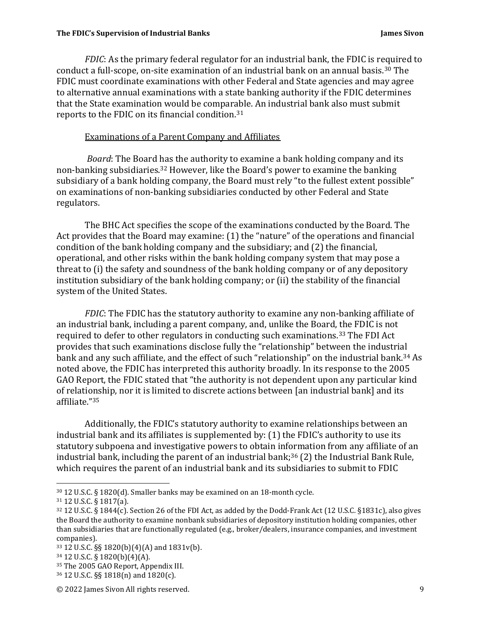*FDIC*: As the primary federal regulator for an industrial bank, the FDIC is required to conduct a full-scope, on-site examination of an industrial bank on an annual basis.30 The FDIC must coordinate examinations with other Federal and State agencies and may agree to alternative annual examinations with a state banking authority if the FDIC determines that the State examination would be comparable. An industrial bank also must submit reports to the FDIC on its financial condition.31

## Examinations of a Parent Company and Affiliates

*Board*: The Board has the authority to examine a bank holding company and its non-banking subsidiaries.32 However, like the Board's power to examine the banking subsidiary of a bank holding company, the Board must rely "to the fullest extent possible" on examinations of non-banking subsidiaries conducted by other Federal and State regulators.

 The BHC Act specifies the scope of the examinations conducted by the Board. The Act provides that the Board may examine: (1) the "nature" of the operations and financial condition of the bank holding company and the subsidiary; and (2) the financial, operational, and other risks within the bank holding company system that may pose a threat to (i) the safety and soundness of the bank holding company or of any depository institution subsidiary of the bank holding company; or (ii) the stability of the financial system of the United States.

*FDIC*: The FDIC has the statutory authority to examine any non-banking affiliate of an industrial bank, including a parent company, and, unlike the Board, the FDIC is not required to defer to other regulators in conducting such examinations.33 The FDI Act provides that such examinations disclose fully the "relationship" between the industrial bank and any such affiliate, and the effect of such "relationship" on the industrial bank.<sup>34</sup> As noted above, the FDIC has interpreted this authority broadly. In its response to the 2005 GAO Report, the FDIC stated that "the authority is not dependent upon any particular kind of relationship, nor it is limited to discrete actions between [an industrial bank] and its affiliate."35

 Additionally, the FDIC's statutory authority to examine relationships between an industrial bank and its affiliates is supplemented by: (1) the FDIC's authority to use its statutory subpoena and investigative powers to obtain information from any affiliate of an industrial bank, including the parent of an industrial bank;<sup>36</sup> (2) the Industrial Bank Rule, which requires the parent of an industrial bank and its subsidiaries to submit to FDIC

<sup>30 12</sup> U.S.C. § 1820(d). Smaller banks may be examined on an 18-month cycle.

<sup>31 12</sup> U.S.C. § 1817(a).

<sup>32 12</sup> U.S.C. § 1844(c). Section 26 of the FDI Act, as added by the Dodd-Frank Act (12 U.S.C. §1831c), also gives the Board the authority to examine nonbank subsidiaries of depository institution holding companies, other than subsidiaries that are functionally regulated (e.g., broker/dealers, insurance companies, and investment companies).

<sup>33 12</sup> U.S.C. §§ 1820(b)(4)(A) and 1831v(b).

<sup>34 12</sup> U.S.C. § 1820(b)(4)(A).

<sup>35</sup> The 2005 GAO Report, Appendix III.

<sup>36 12</sup> U.S.C. §§ 1818(n) and 1820(c).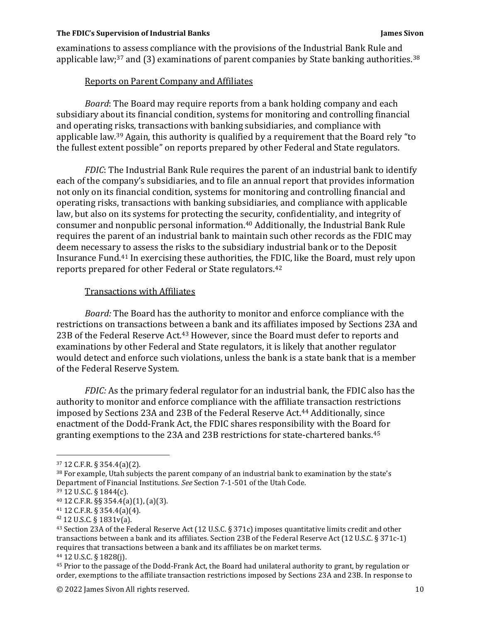examinations to assess compliance with the provisions of the Industrial Bank Rule and applicable law;<sup>37</sup> and (3) examinations of parent companies by State banking authorities.<sup>38</sup>

## Reports on Parent Company and Affiliates

*Board*: The Board may require reports from a bank holding company and each subsidiary about its financial condition, systems for monitoring and controlling financial and operating risks, transactions with banking subsidiaries, and compliance with applicable law.39 Again, this authority is qualified by a requirement that the Board rely "to the fullest extent possible" on reports prepared by other Federal and State regulators.

*FDIC*: The Industrial Bank Rule requires the parent of an industrial bank to identify each of the company's subsidiaries, and to file an annual report that provides information not only on its financial condition, systems for monitoring and controlling financial and operating risks, transactions with banking subsidiaries, and compliance with applicable law, but also on its systems for protecting the security, confidentiality, and integrity of consumer and nonpublic personal information.40 Additionally, the Industrial Bank Rule requires the parent of an industrial bank to maintain such other records as the FDIC may deem necessary to assess the risks to the subsidiary industrial bank or to the Deposit Insurance Fund.41 In exercising these authorities, the FDIC, like the Board, must rely upon reports prepared for other Federal or State regulators.42

## Transactions with Affiliates

*Board:* The Board has the authority to monitor and enforce compliance with the restrictions on transactions between a bank and its affiliates imposed by Sections 23A and 23B of the Federal Reserve Act.<sup>43</sup> However, since the Board must defer to reports and examinations by other Federal and State regulators, it is likely that another regulator would detect and enforce such violations, unless the bank is a state bank that is a member of the Federal Reserve System.

*FDIC:* As the primary federal regulator for an industrial bank, the FDIC also has the authority to monitor and enforce compliance with the affiliate transaction restrictions imposed by Sections 23A and 23B of the Federal Reserve Act.44 Additionally, since enactment of the Dodd-Frank Act, the FDIC shares responsibility with the Board for granting exemptions to the 23A and 23B restrictions for state-chartered banks.45

<sup>42</sup> 12 U.S.C. § 1831v(a).

44 12 U.S.C. § 1828(j).

<sup>37 12</sup> C.F.R. § 354.4(a)(2).

<sup>&</sup>lt;sup>38</sup> For example, Utah subjects the parent company of an industrial bank to examination by the state's Department of Financial Institutions. *See* Section 7-1-501 of the Utah Code. 39 12 U.S.C. § 1844(c).

<sup>40 12</sup> C.F.R. §§ 354.4(a)(1), (a)(3).

<sup>41 12</sup> C.F.R. § 354.4(a)(4).

<sup>43</sup> Section 23A of the Federal Reserve Act (12 U.S.C. § 371c) imposes quantitative limits credit and other transactions between a bank and its affiliates. Section 23B of the Federal Reserve Act (12 U.S.C. § 371c-1) requires that transactions between a bank and its affiliates be on market terms.

<sup>45</sup> Prior to the passage of the Dodd-Frank Act, the Board had unilateral authority to grant, by regulation or order, exemptions to the affiliate transaction restrictions imposed by Sections 23A and 23B. In response to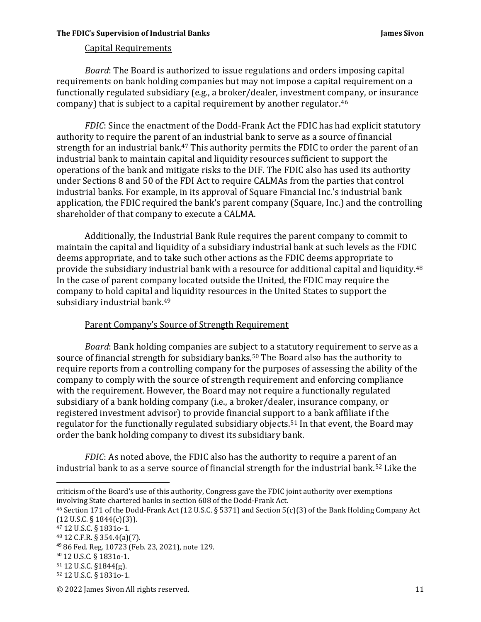## Capital Requirements

*Board*: The Board is authorized to issue regulations and orders imposing capital requirements on bank holding companies but may not impose a capital requirement on a functionally regulated subsidiary (e.g., a broker/dealer, investment company, or insurance company) that is subject to a capital requirement by another regulator.46

*FDIC*: Since the enactment of the Dodd-Frank Act the FDIC has had explicit statutory authority to require the parent of an industrial bank to serve as a source of financial strength for an industrial bank.<sup>47</sup> This authority permits the FDIC to order the parent of an industrial bank to maintain capital and liquidity resources sufficient to support the operations of the bank and mitigate risks to the DIF. The FDIC also has used its authority under Sections 8 and 50 of the FDI Act to require CALMAs from the parties that control industrial banks. For example, in its approval of Square Financial Inc.'s industrial bank application, the FDIC required the bank's parent company (Square, Inc.) and the controlling shareholder of that company to execute a CALMA.

 Additionally, the Industrial Bank Rule requires the parent company to commit to maintain the capital and liquidity of a subsidiary industrial bank at such levels as the FDIC deems appropriate, and to take such other actions as the FDIC deems appropriate to provide the subsidiary industrial bank with a resource for additional capital and liquidity.48 In the case of parent company located outside the United, the FDIC may require the company to hold capital and liquidity resources in the United States to support the subsidiary industrial bank.49

## Parent Company's Source of Strength Requirement

 *Board*: Bank holding companies are subject to a statutory requirement to serve as a source of financial strength for subsidiary banks.<sup>50</sup> The Board also has the authority to require reports from a controlling company for the purposes of assessing the ability of the company to comply with the source of strength requirement and enforcing compliance with the requirement. However, the Board may not require a functionally regulated subsidiary of a bank holding company (i.e., a broker/dealer, insurance company, or registered investment advisor) to provide financial support to a bank affiliate if the regulator for the functionally regulated subsidiary objects.<sup>51</sup> In that event, the Board may order the bank holding company to divest its subsidiary bank.

*FDIC*: As noted above, the FDIC also has the authority to require a parent of an industrial bank to as a serve source of financial strength for the industrial bank.52 Like the

47 12 U.S.C. § 1831o-1.

criticism of the Board's use of this authority, Congress gave the FDIC joint authority over exemptions involving State chartered banks in section 608 of the Dodd-Frank Act.

<sup>46</sup> Section 171 of the Dodd-Frank Act (12 U.S.C. § 5371) and Section 5(c)(3) of the Bank Holding Company Act  $(12 \text{ U.S.C.} \S 1844(c)(3))$ .

<sup>48 12</sup> C.F.R. § 354.4(a)(7).

<sup>49</sup> 86 Fed. Reg. 10723 (Feb. 23, 2021), note 129.

<sup>50</sup> 12 U.S.C. § 1831o-1.

<sup>51 12</sup> U.S.C. §1844(g).

<sup>52 12</sup> U.S.C. § 1831o-1.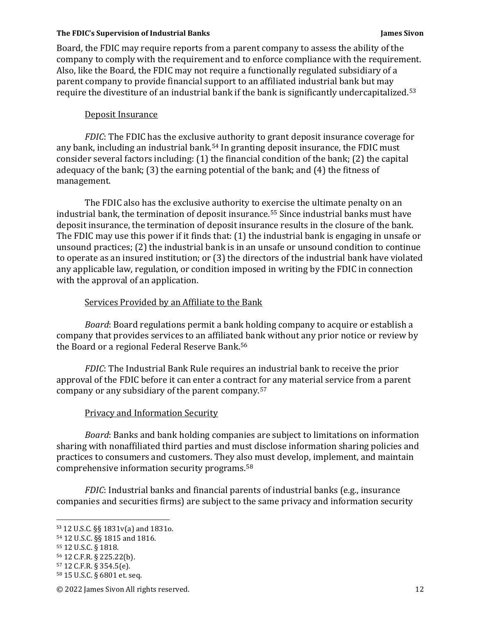Board, the FDIC may require reports from a parent company to assess the ability of the company to comply with the requirement and to enforce compliance with the requirement. Also, like the Board, the FDIC may not require a functionally regulated subsidiary of a parent company to provide financial support to an affiliated industrial bank but may require the divestiture of an industrial bank if the bank is significantly undercapitalized.53

## Deposit Insurance

*FDIC*: The FDIC has the exclusive authority to grant deposit insurance coverage for any bank, including an industrial bank.54 In granting deposit insurance, the FDIC must consider several factors including: (1) the financial condition of the bank; (2) the capital adequacy of the bank; (3) the earning potential of the bank; and (4) the fitness of management.

 The FDIC also has the exclusive authority to exercise the ultimate penalty on an industrial bank, the termination of deposit insurance.55 Since industrial banks must have deposit insurance, the termination of deposit insurance results in the closure of the bank. The FDIC may use this power if it finds that: (1) the industrial bank is engaging in unsafe or unsound practices; (2) the industrial bank is in an unsafe or unsound condition to continue to operate as an insured institution; or (3) the directors of the industrial bank have violated any applicable law, regulation, or condition imposed in writing by the FDIC in connection with the approval of an application.

## Services Provided by an Affiliate to the Bank

 *Board*: Board regulations permit a bank holding company to acquire or establish a company that provides services to an affiliated bank without any prior notice or review by the Board or a regional Federal Reserve Bank.56

*FDIC*: The Industrial Bank Rule requires an industrial bank to receive the prior approval of the FDIC before it can enter a contract for any material service from a parent company or any subsidiary of the parent company.57

## Privacy and Information Security

*Board*: Banks and bank holding companies are subject to limitations on information sharing with nonaffiliated third parties and must disclose information sharing policies and practices to consumers and customers. They also must develop, implement, and maintain comprehensive information security programs.58

*FDIC*: Industrial banks and financial parents of industrial banks (e.g., insurance companies and securities firms) are subject to the same privacy and information security

© 2022 James Sivon All rights reserved. 12

<sup>53</sup> 12 U.S.C. §§ 1831v(a) and 1831o.

<sup>54 12</sup> U.S.C. §§ 1815 and 1816.

<sup>55 12</sup> U.S.C. § 1818.

<sup>56 12</sup> C.F.R. § 225.22(b).

<sup>57 12</sup> C.F.R. § 354.5(e).

<sup>58 15</sup> U.S.C. § 6801 et. seq.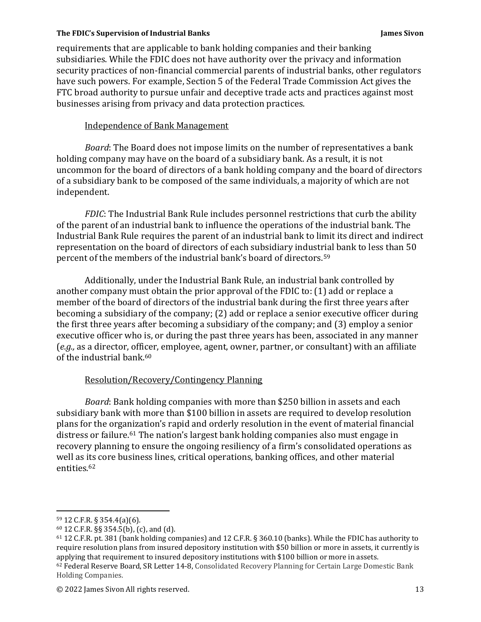requirements that are applicable to bank holding companies and their banking subsidiaries. While the FDIC does not have authority over the privacy and information security practices of non-financial commercial parents of industrial banks, other regulators have such powers. For example, Section 5 of the Federal Trade Commission Act gives the FTC broad authority to pursue unfair and deceptive trade acts and practices against most businesses arising from privacy and data protection practices.

### Independence of Bank Management

*Board*: The Board does not impose limits on the number of representatives a bank holding company may have on the board of a subsidiary bank. As a result, it is not uncommon for the board of directors of a bank holding company and the board of directors of a subsidiary bank to be composed of the same individuals, a majority of which are not independent.

*FDIC*: The Industrial Bank Rule includes personnel restrictions that curb the ability of the parent of an industrial bank to influence the operations of the industrial bank. The Industrial Bank Rule requires the parent of an industrial bank to limit its direct and indirect representation on the board of directors of each subsidiary industrial bank to less than 50 percent of the members of the industrial bank's board of directors.59

 Additionally, under the Industrial Bank Rule, an industrial bank controlled by another company must obtain the prior approval of the FDIC to: (1) add or replace a member of the board of directors of the industrial bank during the first three years after becoming a subsidiary of the company; (2) add or replace a senior executive officer during the first three years after becoming a subsidiary of the company; and (3) employ a senior executive officer who is, or during the past three years has been, associated in any manner (*e.g.,* as a director, officer, employee, agent, owner, partner, or consultant) with an affiliate of the industrial bank.60

## Resolution/Recovery/Contingency Planning

*Board*: Bank holding companies with more than \$250 billion in assets and each subsidiary bank with more than \$100 billion in assets are required to develop resolution plans for the organization's rapid and orderly resolution in the event of material financial distress or failure.<sup>61</sup> The nation's largest bank holding companies also must engage in recovery planning to ensure the ongoing resiliency of a firm's consolidated operations as well as its core business lines, critical operations, banking offices, and other material entities.62

<sup>59 12</sup> C.F.R. § 354.4(a)(6).

<sup>60 12</sup> C.F.R. §§ 354.5(b), (c), and (d).

<sup>61 12</sup> C.F.R. pt. 381 (bank holding companies) and 12 C.F.R. § 360.10 (banks). While the FDIC has authority to require resolution plans from insured depository institution with \$50 billion or more in assets, it currently is applying that requirement to insured depository institutions with \$100 billion or more in assets. <sup>62</sup> Federal Reserve Board, SR Letter 14-8, Consolidated Recovery Planning for Certain Large Domestic Bank Holding Companies.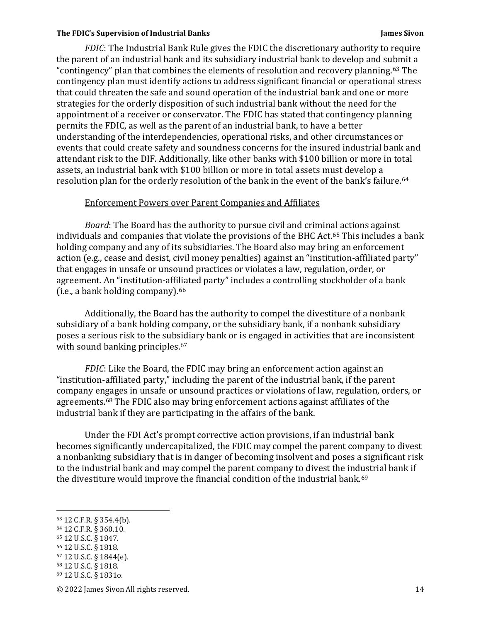*FDIC*: The Industrial Bank Rule gives the FDIC the discretionary authority to require the parent of an industrial bank and its subsidiary industrial bank to develop and submit a "contingency" plan that combines the elements of resolution and recovery planning.63 The contingency plan must identify actions to address significant financial or operational stress that could threaten the safe and sound operation of the industrial bank and one or more strategies for the orderly disposition of such industrial bank without the need for the appointment of a receiver or conservator. The FDIC has stated that contingency planning permits the FDIC, as well as the parent of an industrial bank, to have a better understanding of the interdependencies, operational risks, and other circumstances or events that could create safety and soundness concerns for the insured industrial bank and attendant risk to the DIF. Additionally, like other banks with \$100 billion or more in total assets, an industrial bank with \$100 billion or more in total assets must develop a resolution plan for the orderly resolution of the bank in the event of the bank's failure.<sup>64</sup>

#### Enforcement Powers over Parent Companies and Affiliates

 *Board*: The Board has the authority to pursue civil and criminal actions against individuals and companies that violate the provisions of the BHC Act.65 This includes a bank holding company and any of its subsidiaries. The Board also may bring an enforcement action (e.g., cease and desist, civil money penalties) against an "institution-affiliated party" that engages in unsafe or unsound practices or violates a law, regulation, order, or agreement. An "institution-affiliated party" includes a controlling stockholder of a bank (i.e., a bank holding company).66

 Additionally, the Board has the authority to compel the divestiture of a nonbank subsidiary of a bank holding company, or the subsidiary bank, if a nonbank subsidiary poses a serious risk to the subsidiary bank or is engaged in activities that are inconsistent with sound banking principles.<sup>67</sup>

*FDIC*: Like the Board, the FDIC may bring an enforcement action against an "institution-affiliated party," including the parent of the industrial bank, if the parent company engages in unsafe or unsound practices or violations of law, regulation, orders, or agreements.68 The FDIC also may bring enforcement actions against affiliates of the industrial bank if they are participating in the affairs of the bank.

 Under the FDI Act's prompt corrective action provisions, if an industrial bank becomes significantly undercapitalized, the FDIC may compel the parent company to divest a nonbanking subsidiary that is in danger of becoming insolvent and poses a significant risk to the industrial bank and may compel the parent company to divest the industrial bank if the divestiture would improve the financial condition of the industrial bank.69

66 12 U.S.C. § 1818.

<sup>63 12</sup> C.F.R. § 354.4(b).

<sup>64 12</sup> C.F.R. § 360.10.

<sup>65 12</sup> U.S.C. § 1847.

<sup>67 12</sup> U.S.C. § 1844(e). 68 12 U.S.C. § 1818.

<sup>69 12</sup> U.S.C. § 1831o.

<sup>© 2022</sup> James Sivon All rights reserved. 14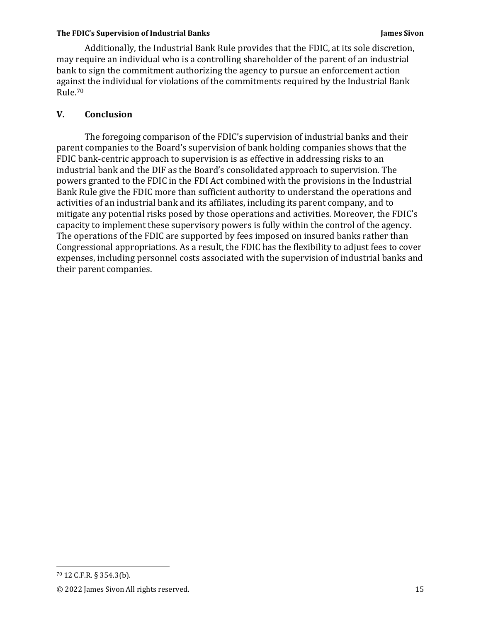Additionally, the Industrial Bank Rule provides that the FDIC, at its sole discretion, may require an individual who is a controlling shareholder of the parent of an industrial bank to sign the commitment authorizing the agency to pursue an enforcement action against the individual for violations of the commitments required by the Industrial Bank Rule.70

# **V. Conclusion**

The foregoing comparison of the FDIC's supervision of industrial banks and their parent companies to the Board's supervision of bank holding companies shows that the FDIC bank-centric approach to supervision is as effective in addressing risks to an industrial bank and the DIF as the Board's consolidated approach to supervision. The powers granted to the FDIC in the FDI Act combined with the provisions in the Industrial Bank Rule give the FDIC more than sufficient authority to understand the operations and activities of an industrial bank and its affiliates, including its parent company, and to mitigate any potential risks posed by those operations and activities. Moreover, the FDIC's capacity to implement these supervisory powers is fully within the control of the agency. The operations of the FDIC are supported by fees imposed on insured banks rather than Congressional appropriations. As a result, the FDIC has the flexibility to adjust fees to cover expenses, including personnel costs associated with the supervision of industrial banks and their parent companies.

<sup>70 12</sup> C.F.R. § 354.3(b).

<sup>© 2022</sup> James Sivon All rights reserved. 15